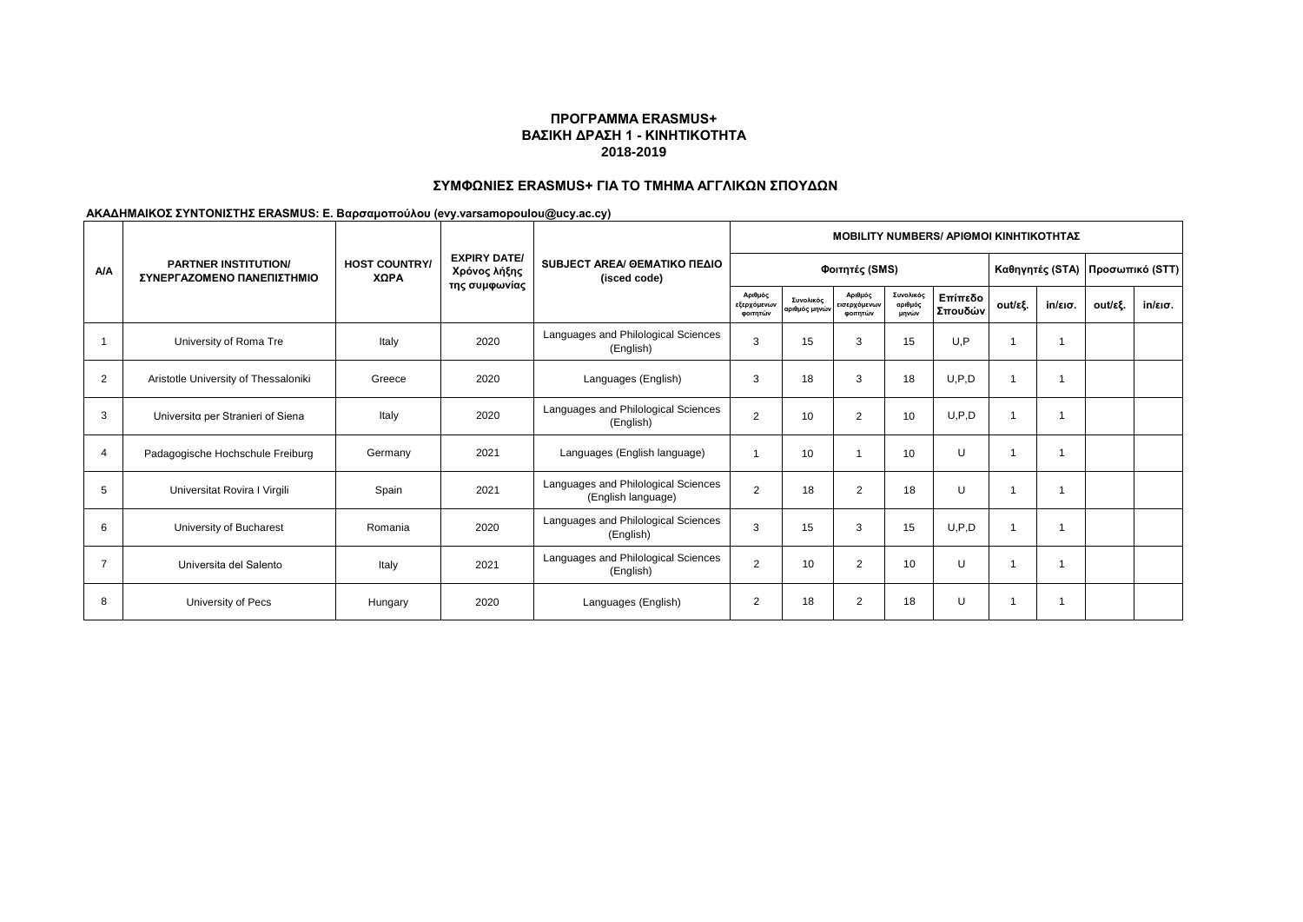## **ΣΥΜΦΩΝΙΕΣ ERASMUS+ ΓΙΑ ΤΟ ΤΜΗΜΑ ΑΓΓΛΙΚΩΝ ΣΠΟΥΔΩΝ**

|                | <b>PARTNER INSTITUTION/</b><br>ΣΥΝΕΡΓΑΖΟΜΕΝΟ ΠΑΝΕΠΙΣΤΗΜΙΟ | <b>HOST COUNTRY/</b><br>XΩPA |                                     | SUBJECT AREA/ OEMATIKO ΠΕΔΙΟ<br>(isced code)              | <b>MOBILITY NUMBERS/ APIOMOI KINHTIKOTHTAZ</b> |                            |                                     |                               |                                   |         |                   |         |         |  |
|----------------|-----------------------------------------------------------|------------------------------|-------------------------------------|-----------------------------------------------------------|------------------------------------------------|----------------------------|-------------------------------------|-------------------------------|-----------------------------------|---------|-------------------|---------|---------|--|
| <b>A/A</b>     |                                                           |                              | <b>EXPIRY DATE/</b><br>Χρόνος λήξης |                                                           |                                                |                            |                                     |                               | Καθηγητές (STA)   Προσωπικό (STT) |         |                   |         |         |  |
|                |                                                           |                              | της συμφωνίας                       |                                                           | Αριθμός<br>εξερχόμενων<br>φοιτητών             | Συνολικός<br>αριθμός μηνών | Αριθμός<br>εισερχόμενων<br>φοιτητών | Συνολικός<br>αριθμός<br>μηνών | Επίπεδο<br>Σπουδών                | out/εξ. | $in/\epsilon$ ισ. | out/εξ. | in/εισ. |  |
|                | University of Roma Tre                                    | Italy                        | 2020                                | Languages and Philological Sciences<br>(English)          | 3                                              | 15                         | 3                                   | 15                            | U.P                               |         |                   |         |         |  |
| $\overline{2}$ | Aristotle University of Thessaloniki                      | Greece                       | 2020                                | Languages (English)                                       | 3                                              | 18                         | 3                                   | 18                            | U.P.D                             |         |                   |         |         |  |
| 3              | Universita per Stranieri of Siena                         | Italy                        | 2020                                | Languages and Philological Sciences<br>(English)          | $\overline{2}$                                 | 10                         | $\overline{2}$                      | 10                            | U, P, D                           |         |                   |         |         |  |
| 4              | Padagogische Hochschule Freiburg                          | Germany                      | 2021                                | Languages (English language)                              |                                                | 10                         |                                     | 10                            | U                                 |         |                   |         |         |  |
| 5              | Universitat Rovira I Virgili                              | Spain                        | 2021                                | Languages and Philological Sciences<br>(English language) | $\overline{2}$                                 | 18                         | $\overline{2}$                      | 18                            | U                                 |         |                   |         |         |  |
| 6              | University of Bucharest                                   | Romania                      | 2020                                | Languages and Philological Sciences<br>(English)          | 3                                              | 15                         | 3                                   | 15                            | U, P, D                           |         |                   |         |         |  |
| $\overline{7}$ | Universita del Salento                                    | Italy                        | 2021                                | Languages and Philological Sciences<br>(English)          | $\overline{2}$                                 | 10                         | $\overline{2}$                      | 10                            | U                                 |         |                   |         |         |  |
| 8              | University of Pecs                                        | Hungary                      | 2020                                | Languages (English)                                       | $\overline{2}$                                 | 18                         | $\overline{2}$                      | 18                            | U                                 |         |                   |         |         |  |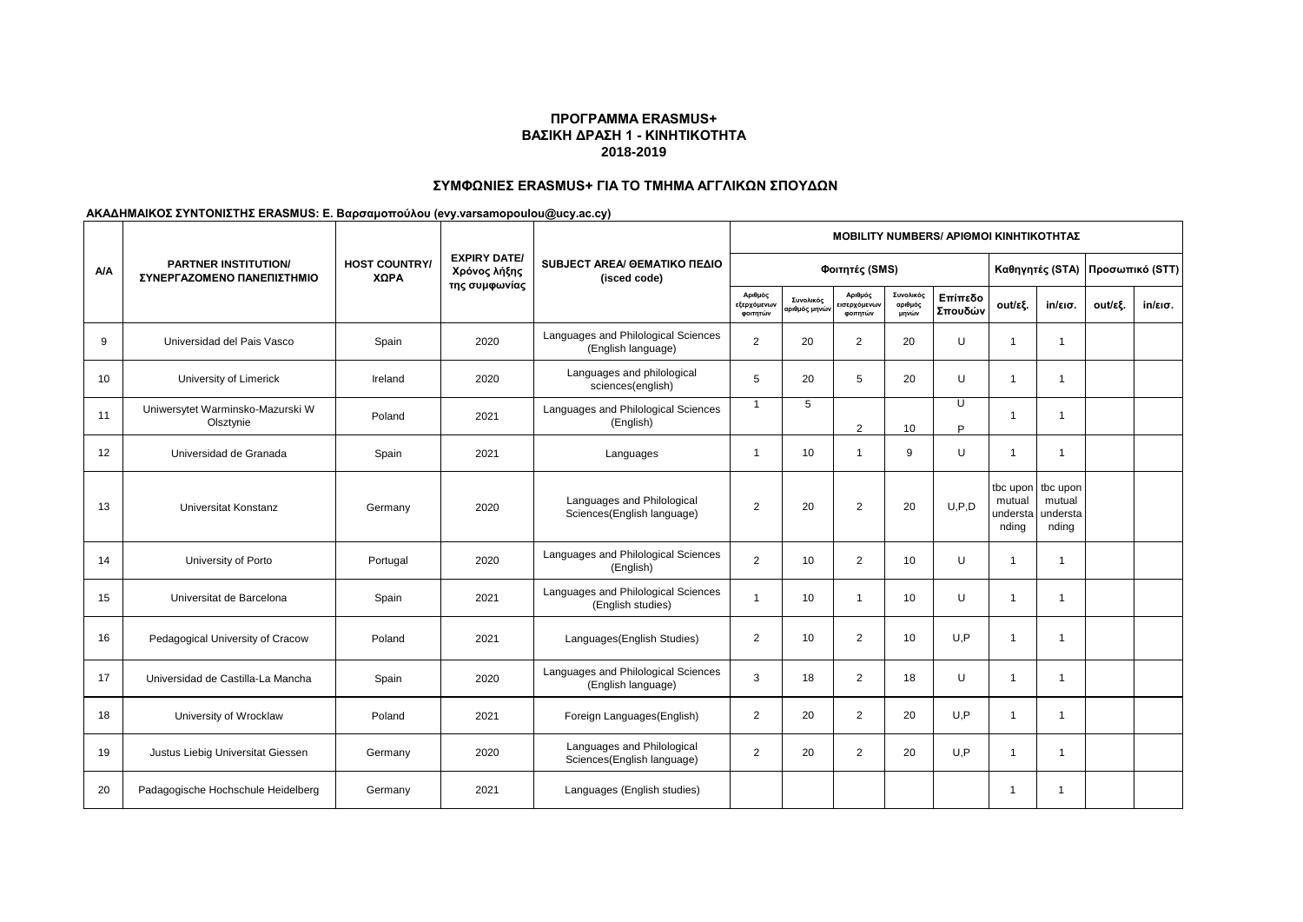## **ΣΥΜΦΩΝΙΕΣ ERASMUS+ ΓΙΑ ΤΟ ΤΜΗΜΑ ΑΓΓΛΙΚΩΝ ΣΠΟΥΔΩΝ**

|            | <b>PARTNER INSTITUTION/</b><br>ΣΥΝΕΡΓΑΖΟΜΕΝΟ ΠΑΝΕΠΙΣΤΗΜΙΟ |                              |                                                      |                                                           | <b>ΜΟΒΙLITY NUMBERS/ ΑΡΙΘΜΟΙ ΚΙΝΗΤΙΚΟΤΗΤΑΣ</b> |                                          |                                    |                               |                     |                                                  |                             |                                 |         |  |
|------------|-----------------------------------------------------------|------------------------------|------------------------------------------------------|-----------------------------------------------------------|------------------------------------------------|------------------------------------------|------------------------------------|-------------------------------|---------------------|--------------------------------------------------|-----------------------------|---------------------------------|---------|--|
| <b>A/A</b> |                                                           | <b>HOST COUNTRY/</b><br>ΧΩΡΑ | <b>EXPIRY DATE/</b><br>Χρόνος λήξης<br>της συμφωνίας | SUBJECT AREA/ GEMATIKO ΠΕΔΙΟ<br>(isced code)              | Φοιτητές (SMS)                                 |                                          |                                    |                               |                     |                                                  |                             | Καθηγητές (STA) Προσωπικό (STT) |         |  |
|            |                                                           |                              |                                                      |                                                           | Αριθμός<br>εξερχόμενων<br>φοιτητών             | Συνολικός<br>αριθμός μηνώ <mark>ν</mark> | Αριθμός<br>ισερχόμενων<br>φοιτητών | Συνολικός<br>αριθμός<br>μηνών | Επίπεδο<br>Σπουδών  | out/εξ.                                          | $in/\epsilon$ ισ.           | out/εξ.                         | in/εισ. |  |
| 9          | Universidad del Pais Vasco                                | Spain                        | 2020                                                 | Languages and Philological Sciences<br>(English language) | $\overline{2}$                                 | 20                                       | 2                                  | 20                            | $\cup$              | $\overline{1}$                                   | $\overline{1}$              |                                 |         |  |
| 10         | University of Limerick                                    | Ireland                      | 2020                                                 | Languages and philological<br>sciences(english)           | 5                                              | 20                                       | 5                                  | 20                            | U                   | $\overline{1}$                                   | $\mathbf{1}$                |                                 |         |  |
| 11         | Uniwersytet Warminsko-Mazurski W<br>Olsztynie             | Poland                       | 2021                                                 | Languages and Philological Sciences<br>(English)          | $\overline{1}$                                 | 5                                        | $\mathfrak{p}$                     | 10                            | $\overline{U}$<br>D | $\overline{1}$                                   | 1                           |                                 |         |  |
| 12         | Universidad de Granada                                    | Spain                        | 2021                                                 | Languages                                                 | $\overline{1}$                                 | 10                                       | $\overline{1}$                     | 9                             | U                   | $\overline{1}$                                   | 1                           |                                 |         |  |
| 13         | Universitat Konstanz                                      | Germany                      | 2020                                                 | Languages and Philological<br>Sciences(English language)  | $\overline{2}$                                 | 20                                       | $\overline{2}$                     | 20                            | U.P.D               | tbc upon tbc upon<br>mutual<br>understa<br>nding | mutual<br>understa<br>nding |                                 |         |  |
| 14         | University of Porto                                       | Portugal                     | 2020                                                 | Languages and Philological Sciences<br>(English)          | 2                                              | 10                                       | 2                                  | 10                            | U                   | $\overline{1}$                                   | $\overline{1}$              |                                 |         |  |
| 15         | Universitat de Barcelona                                  | Spain                        | 2021                                                 | Languages and Philological Sciences<br>(English studies)  | $\overline{1}$                                 | 10                                       | $\overline{1}$                     | 10                            | U                   | $\overline{1}$                                   | 1                           |                                 |         |  |
| 16         | Pedagogical University of Cracow                          | Poland                       | 2021                                                 | Languages (English Studies)                               | 2                                              | 10 <sup>1</sup>                          | 2                                  | 10                            | U.P                 | $\overline{1}$                                   | $\mathbf 1$                 |                                 |         |  |
| 17         | Universidad de Castilla-La Mancha                         | Spain                        | 2020                                                 | Languages and Philological Sciences<br>(English language) | 3                                              | 18                                       | $\overline{2}$                     | 18                            | U                   | $\overline{1}$                                   | 1                           |                                 |         |  |
| 18         | University of Wrocklaw                                    | Poland                       | 2021                                                 | Foreign Languages(English)                                | 2                                              | 20                                       | 2                                  | 20                            | U, P                | $\overline{1}$                                   | $\overline{1}$              |                                 |         |  |
| 19         | Justus Liebig Universitat Giessen                         | Germany                      | 2020                                                 | Languages and Philological<br>Sciences(English language)  | $\overline{2}$                                 | 20                                       | $\overline{2}$                     | 20                            | U.P                 | $\overline{1}$                                   | 1                           |                                 |         |  |
| 20         | Padagogische Hochschule Heidelberg                        | Germany                      | 2021                                                 | Languages (English studies)                               |                                                |                                          |                                    |                               |                     | -1                                               | -1                          |                                 |         |  |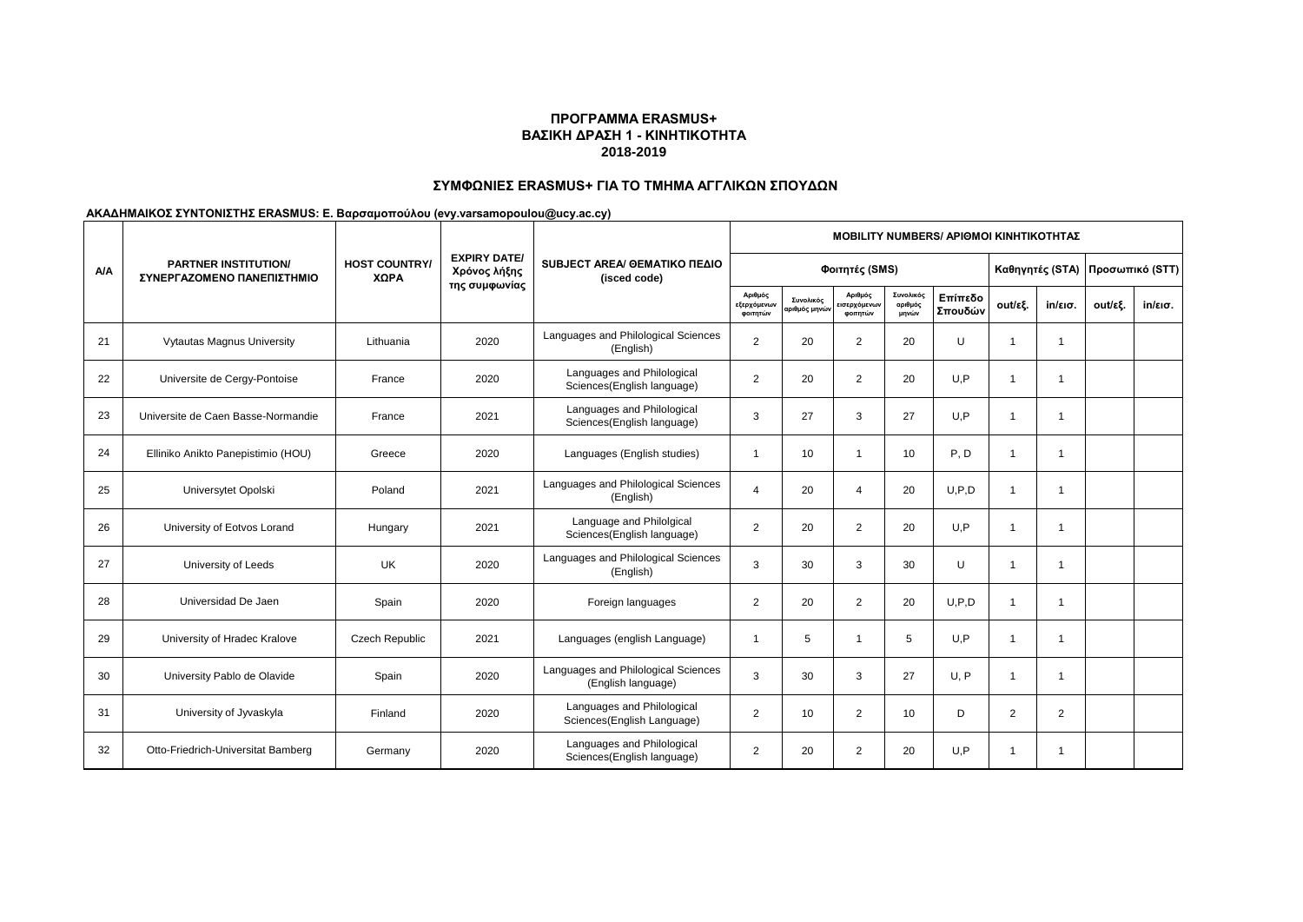## **ΣΥΜΦΩΝΙΕΣ ERASMUS+ ΓΙΑ ΤΟ ΤΜΗΜΑ ΑΓΓΛΙΚΩΝ ΣΠΟΥΔΩΝ**

|            | <b>PARTNER INSTITUTION/</b><br>ΣΥΝΕΡΓΑΖΟΜΕΝΟ ΠΑΝΕΠΙΣΤΗΜΙΟ |                              |                                                      |                                                           | <b>ΜΟΒΙLITY NUMBERS/ ΑΡΙΘΜΟΙ ΚΙΝΗΤΙΚΟΤΗΤΑΣ</b> |                            |                                    |                               |                    |                         |                   |                 |                   |  |
|------------|-----------------------------------------------------------|------------------------------|------------------------------------------------------|-----------------------------------------------------------|------------------------------------------------|----------------------------|------------------------------------|-------------------------------|--------------------|-------------------------|-------------------|-----------------|-------------------|--|
| <b>A/A</b> |                                                           | <b>HOST COUNTRY/</b><br>ΧΩΡΑ | <b>EXPIRY DATE/</b><br>Χρόνος λήξης<br>της συμφωνίας | SUBJECT AREA/ GEMATIKO ΠΕΔΙΟ<br>(isced code)              | Φοιτητές (SMS)                                 |                            |                                    |                               |                    | Καθηγητές (STA)         |                   | Προσωπικό (STT) |                   |  |
|            |                                                           |                              |                                                      |                                                           | Αριθμός<br>εξερχόμενων<br>φοιτητών             | Συνολικός<br>ιριθμός μηνών | Αριθμός<br>ισερχόμενων<br>φοιτητών | Συνολικός<br>αριθμός<br>μηνών | Επίπεδο<br>Σπουδών | out/εξ.                 | $in/\epsilon$ ισ. | out/εξ.         | $in/\epsilon$ ισ. |  |
| 21         | Vytautas Magnus University                                | Lithuania                    | 2020                                                 | Languages and Philological Sciences<br>(English)          | 2                                              | 20                         | 2                                  | 20                            | U                  | $\overline{\mathbf{1}}$ | $\overline{1}$    |                 |                   |  |
| 22         | Universite de Cergy-Pontoise                              | France                       | 2020                                                 | Languages and Philological<br>Sciences(English language)  | $\overline{2}$                                 | 20                         | 2                                  | 20                            | U.P                | $\overline{\mathbf{1}}$ | -1                |                 |                   |  |
| 23         | Universite de Caen Basse-Normandie                        | France                       | 2021                                                 | Languages and Philological<br>Sciences(English language)  | 3                                              | 27                         | 3                                  | 27                            | U,P                | $\overline{\mathbf{1}}$ | -1                |                 |                   |  |
| 24         | Elliniko Anikto Panepistimio (HOU)                        | Greece                       | 2020                                                 | Languages (English studies)                               | -1                                             | 10                         | $\overline{1}$                     | 10                            | P, D               | -1                      |                   |                 |                   |  |
| 25         | Universytet Opolski                                       | Poland                       | 2021                                                 | Languages and Philological Sciences<br>(English)          | $\overline{4}$                                 | 20                         | $\overline{4}$                     | 20                            | U.P.D              | $\overline{1}$          | -1                |                 |                   |  |
| 26         | University of Eotvos Lorand                               | Hungary                      | 2021                                                 | Language and Philolgical<br>Sciences(English language)    | $\overline{2}$                                 | 20                         | 2                                  | 20                            | U,P                | $\overline{1}$          | $\overline{1}$    |                 |                   |  |
| 27         | University of Leeds                                       | UK                           | 2020                                                 | Languages and Philological Sciences<br>(English)          | 3                                              | 30                         | 3                                  | 30                            | $\cup$             | $\overline{\mathbf{1}}$ | -1                |                 |                   |  |
| 28         | Universidad De Jaen                                       | Spain                        | 2020                                                 | Foreign languages                                         | 2                                              | 20                         | 2                                  | 20                            | U.P.D              | $\mathbf{1}$            | $\overline{1}$    |                 |                   |  |
| 29         | University of Hradec Kralove                              | <b>Czech Republic</b>        | 2021                                                 | Languages (english Language)                              | -1                                             | 5                          | $\overline{1}$                     | 5                             | U.P                | $\mathbf{1}$            | -1                |                 |                   |  |
| 30         | University Pablo de Olavide                               | Spain                        | 2020                                                 | Languages and Philological Sciences<br>(English language) | 3                                              | 30                         | 3                                  | 27                            | U, P               | $\overline{1}$          | -1                |                 |                   |  |
| 31         | University of Jyvaskyla                                   | Finland                      | 2020                                                 | Languages and Philological<br>Sciences(English Language)  | 2                                              | 10                         | 2                                  | 10                            | D                  | 2                       | 2                 |                 |                   |  |
| 32         | Otto-Friedrich-Universitat Bamberg                        | Germany                      | 2020                                                 | Languages and Philological<br>Sciences(English language)  | 2                                              | 20                         | $\overline{2}$                     | 20                            | U.P                | $\overline{\mathbf{1}}$ | -1                |                 |                   |  |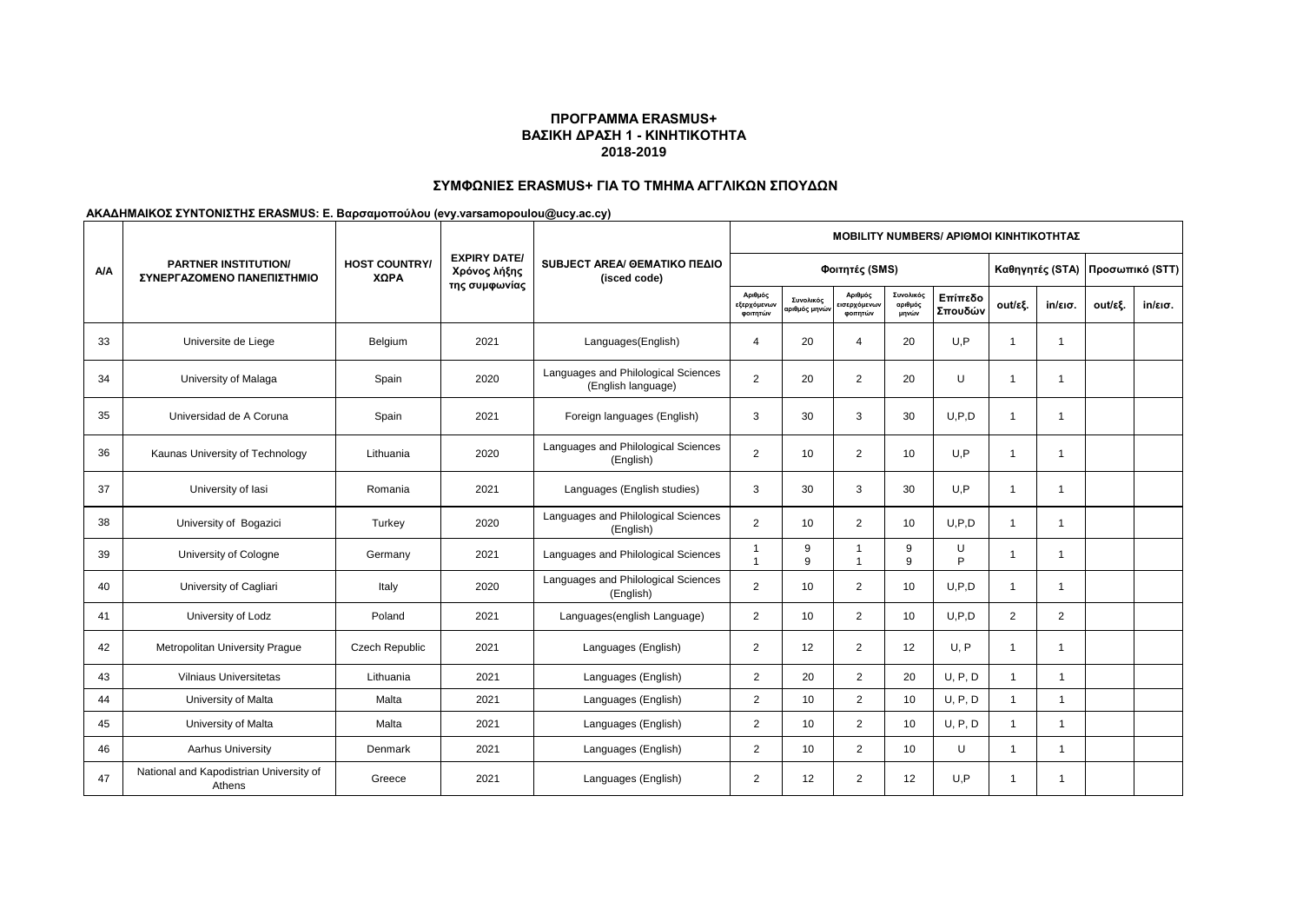# **ΣΥΜΦΩΝΙΕΣ ERASMUS+ ΓΙΑ ΤΟ ΤΜΗΜΑ ΑΓΓΛΙΚΩΝ ΣΠΟΥΔΩΝ**

|            |                                                           |                              | MOBILITY NUMBERS/ ΑΡΙΘΜΟΙ ΚΙΝΗΤΙΚΟΤΗΤΑΣ              |                                                           |                                    |                            |                                    |                                 |                    |                         |                         |         |                   |  |  |
|------------|-----------------------------------------------------------|------------------------------|------------------------------------------------------|-----------------------------------------------------------|------------------------------------|----------------------------|------------------------------------|---------------------------------|--------------------|-------------------------|-------------------------|---------|-------------------|--|--|
| <b>A/A</b> | <b>PARTNER INSTITUTION/</b><br>ΣΥΝΕΡΓΑΖΟΜΕΝΟ ΠΑΝΕΠΙΣΤΗΜΙΟ | <b>HOST COUNTRY/</b><br>ΧΩΡΑ | <b>EXPIRY DATE/</b><br>Χρόνος λήξης<br>της συμφωνίας | SUBJECT AREA/ GEMATIKO ΠΕΔΙΟ<br>(isced code)              |                                    |                            |                                    | Καθηγητές (STA) Προσωπικό (STT) |                    |                         |                         |         |                   |  |  |
|            |                                                           |                              |                                                      |                                                           | Αριθμός<br>εξερχόμενων<br>φοιτητών | Συνολικός<br>αριθμός μηνών | Αριθμός<br>ισερχόμενων<br>φοιτητών | Συνολικός<br>αριθμός<br>μηνών   | Επίπεδο<br>Σπουδών | out/εξ.                 | $in/\epsilon$ ισ.       | out/εξ. | $in/\epsilon$ ισ. |  |  |
| 33         | Universite de Liege                                       | Belgium                      | 2021                                                 | Languages(English)                                        | $\overline{4}$                     | 20                         | $\overline{4}$                     | 20                              | U,P                | $\overline{1}$          | -1                      |         |                   |  |  |
| 34         | University of Malaga                                      | Spain                        | 2020                                                 | Languages and Philological Sciences<br>(English language) | $\overline{2}$                     | 20                         | 2                                  | 20                              | U                  | $\overline{1}$          | -1                      |         |                   |  |  |
| 35         | Universidad de A Coruna                                   | Spain                        | 2021                                                 | Foreign languages (English)                               | 3                                  | 30                         | 3                                  | 30                              | U, P, D            | $\mathbf{1}$            | $\overline{1}$          |         |                   |  |  |
| 36         | Kaunas University of Technology                           | Lithuania                    | 2020                                                 | Languages and Philological Sciences<br>(English)          | $\overline{2}$                     | 10                         | 2                                  | 10                              | U.P                | $\mathbf{1}$            | $\overline{1}$          |         |                   |  |  |
| 37         | University of lasi                                        | Romania                      | 2021                                                 | Languages (English studies)                               | 3                                  | 30                         | 3                                  | 30                              | U,P                | $\overline{1}$          | $\overline{\mathbf{1}}$ |         |                   |  |  |
| 38         | University of Bogazici                                    | Turkey                       | 2020                                                 | Languages and Philological Sciences<br>(English)          | 2                                  | 10                         | 2                                  | 10                              | U.P.D              | $\mathbf{1}$            | $\overline{1}$          |         |                   |  |  |
| 39         | University of Cologne                                     | Germany                      | 2021                                                 | Languages and Philological Sciences                       | -1<br>$\overline{1}$               | 9<br>9                     | -1<br>$\overline{1}$               | 9<br>9                          | U<br>P             | $\overline{1}$          | $\overline{1}$          |         |                   |  |  |
| 40         | University of Cagliari                                    | Italy                        | 2020                                                 | Languages and Philological Sciences<br>(English)          | $\overline{2}$                     | 10                         | 2                                  | 10                              | U.P.D              | $\overline{1}$          | $\overline{\mathbf{1}}$ |         |                   |  |  |
| 41         | University of Lodz                                        | Poland                       | 2021                                                 | Languages(english Language)                               | $\overline{2}$                     | 10                         | 2                                  | 10                              | U, P, D            | $\overline{2}$          | $\overline{2}$          |         |                   |  |  |
| 42         | Metropolitan University Prague                            | <b>Czech Republic</b>        | 2021                                                 | Languages (English)                                       | $\overline{2}$                     | 12                         | 2                                  | 12                              | U, P               | $\mathbf{1}$            | $\overline{\mathbf{1}}$ |         |                   |  |  |
| 43         | <b>Vilniaus Universitetas</b>                             | Lithuania                    | 2021                                                 | Languages (English)                                       | $\overline{c}$                     | 20                         | $\overline{2}$                     | 20                              | U, P, D            | $\overline{1}$          | 1                       |         |                   |  |  |
| 44         | University of Malta                                       | Malta                        | 2021                                                 | Languages (English)                                       | $\overline{2}$                     | 10 <sup>1</sup>            | $\overline{2}$                     | 10                              | U, P, D            | $\mathbf{1}$            | 1                       |         |                   |  |  |
| 45         | University of Malta                                       | Malta                        | 2021                                                 | Languages (English)                                       | $\overline{2}$                     | 10 <sup>10</sup>           | $\overline{2}$                     | 10                              | U, P, D            | $\overline{1}$          | 1                       |         |                   |  |  |
| 46         | Aarhus University                                         | Denmark                      | 2021                                                 | Languages (English)                                       | $\overline{2}$                     | 10 <sup>10</sup>           | 2                                  | 10                              | U                  | $\overline{1}$          | 1                       |         |                   |  |  |
| 47         | National and Kapodistrian University of<br>Athens         | Greece                       | 2021                                                 | Languages (English)                                       | $\overline{2}$                     | 12                         | 2                                  | 12                              | U, P               | $\overline{\mathbf{1}}$ | 1                       |         |                   |  |  |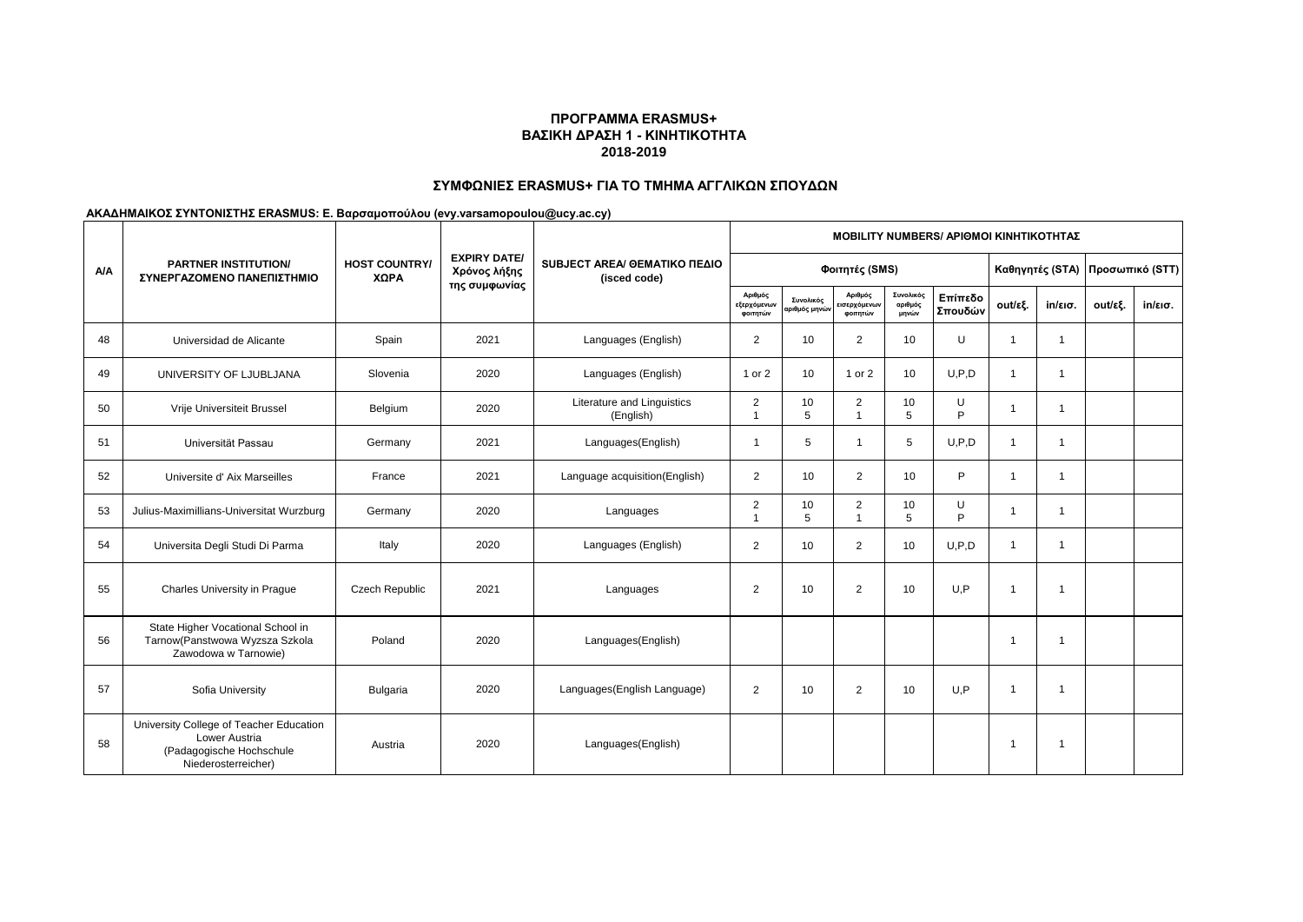# **ΣΥΜΦΩΝΙΕΣ ERASMUS+ ΓΙΑ ΤΟ ΤΜΗΜΑ ΑΓΓΛΙΚΩΝ ΣΠΟΥΔΩΝ**

|            |                                                                                                             | <b>HOST COUNTRY/</b><br>ΧΩΡΑ |                                                      | SUBJECT AREA/ GEMATIKO ΠΕΔΙΟ<br>(isced code) | <b>ΜΟΒΙLITY NUMBERS/ ΑΡΙΘΜΟΙ ΚΙΝΗΤΙΚΟΤΗΤΑΣ</b> |                            |                                    |                               |                    |                                 |                   |         |                   |  |
|------------|-------------------------------------------------------------------------------------------------------------|------------------------------|------------------------------------------------------|----------------------------------------------|------------------------------------------------|----------------------------|------------------------------------|-------------------------------|--------------------|---------------------------------|-------------------|---------|-------------------|--|
| <b>A/A</b> | <b>PARTNER INSTITUTION/</b><br>ΣΥΝΕΡΓΑΖΟΜΕΝΟ ΠΑΝΕΠΙΣΤΗΜΙΟ                                                   |                              | <b>EXPIRY DATE/</b><br>Χρόνος λήξης<br>της συμφωνίας |                                              |                                                | Φοιτητές (SMS)             |                                    |                               |                    | Καθηγητές (STA) Προσωπικό (STT) |                   |         |                   |  |
|            |                                                                                                             |                              |                                                      |                                              | Αριθμός<br>εξερχόμενων<br>φοιτητών             | Συνολικός<br>αριθμός μηνών | Αριθμός<br>ισερχόμενων<br>φοιτητών | Συνολικός<br>αριθμός<br>μηνών | Επίπεδο<br>Σπουδών | out/εξ.                         | $in/\epsilon$ ισ. | out/εξ. | $in/\epsilon$ ισ. |  |
| 48         | Universidad de Alicante                                                                                     | Spain                        | 2021                                                 | Languages (English)                          | $\overline{2}$                                 | 10                         | 2                                  | 10                            | U                  | $\overline{1}$                  | $\overline{1}$    |         |                   |  |
| 49         | UNIVERSITY OF LJUBLJANA                                                                                     | Slovenia                     | 2020                                                 | Languages (English)                          | 1 or 2                                         | 10                         | 1 or 2                             | 10                            | U.P.D              | $\mathbf{1}$                    | -1                |         |                   |  |
| 50         | Vrije Universiteit Brussel                                                                                  | Belgium                      | 2020                                                 | Literature and Linguistics<br>(English)      | $\boldsymbol{2}$<br>$\overline{1}$             | 10<br>5                    | $\overline{2}$<br>$\overline{1}$   | 10<br>5                       | U<br>P             | $\overline{1}$                  | -1                |         |                   |  |
| 51         | Universität Passau                                                                                          | Germany                      | 2021                                                 | Languages(English)                           | $\overline{1}$                                 | 5                          | $\overline{1}$                     | 5                             | U, P, D            | $\overline{1}$                  | $\overline{1}$    |         |                   |  |
| 52         | Universite d'Aix Marseilles                                                                                 | France                       | 2021                                                 | Language acquisition(English)                | $\overline{2}$                                 | 10                         | 2                                  | 10                            | P                  | $\overline{1}$                  | $\mathbf 1$       |         |                   |  |
| 53         | Julius-Maximillians-Universitat Wurzburg                                                                    | Germany                      | 2020                                                 | Languages                                    | $\overline{2}$<br>$\overline{1}$               | 10<br>5                    | $\overline{2}$<br>$\overline{1}$   | 10<br>5                       | U<br>P             | $\overline{1}$                  | $\overline{1}$    |         |                   |  |
| 54         | Universita Degli Studi Di Parma                                                                             | Italy                        | 2020                                                 | Languages (English)                          | $\overline{2}$                                 | 10 <sup>10</sup>           | $\overline{2}$                     | 10                            | U.P.D              | $\overline{1}$                  | -1                |         |                   |  |
| 55         | Charles University in Prague                                                                                | <b>Czech Republic</b>        | 2021                                                 | Languages                                    | $\overline{2}$                                 | 10                         | $\overline{2}$                     | 10                            | U.P                | $\overline{1}$                  |                   |         |                   |  |
| 56         | State Higher Vocational School in<br>Tarnow(Panstwowa Wyzsza Szkola<br>Zawodowa w Tarnowie)                 | Poland                       | 2020                                                 | Languages(English)                           |                                                |                            |                                    |                               |                    | $\overline{1}$                  |                   |         |                   |  |
| 57         | Sofia University                                                                                            | Bulgaria                     | 2020                                                 | Languages(English Language)                  | $\overline{2}$                                 | 10                         | $\overline{2}$                     | 10                            | U.P                | $\overline{1}$                  |                   |         |                   |  |
| 58         | University College of Teacher Education<br>Lower Austria<br>(Padagogische Hochschule<br>Niederosterreicher) | Austria                      | 2020                                                 | Languages(English)                           |                                                |                            |                                    |                               |                    | $\overline{1}$                  |                   |         |                   |  |